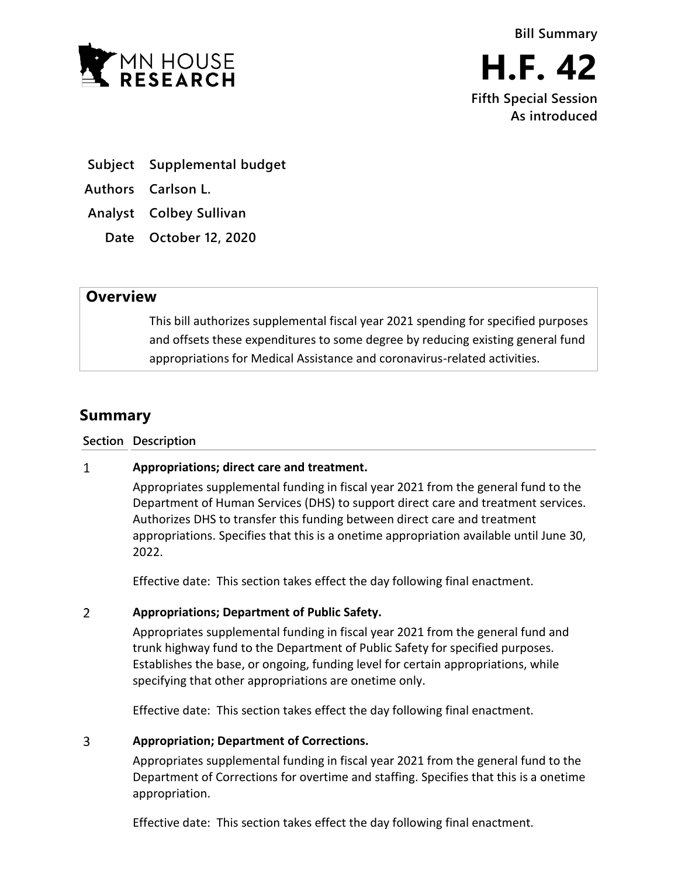**Bill Summary**





- **Subject Supplemental budget**
- **Authors Carlson L.**
- **Analyst Colbey Sullivan**
	- **Date October 12, 2020**

## **Overview**

This bill authorizes supplemental fiscal year 2021 spending for specified purposes and offsets these expenditures to some degree by reducing existing general fund appropriations for Medical Assistance and coronavirus-related activities.

# **Summary**

**Section Description**

#### $\mathbf{1}$ **Appropriations; direct care and treatment.**

Appropriates supplemental funding in fiscal year 2021 from the general fund to the Department of Human Services (DHS) to support direct care and treatment services. Authorizes DHS to transfer this funding between direct care and treatment appropriations. Specifies that this is a onetime appropriation available until June 30, 2022.

Effective date: This section takes effect the day following final enactment.

#### $\overline{2}$ **Appropriations; Department of Public Safety.**

Appropriates supplemental funding in fiscal year 2021 from the general fund and trunk highway fund to the Department of Public Safety for specified purposes. Establishes the base, or ongoing, funding level for certain appropriations, while specifying that other appropriations are onetime only.

Effective date: This section takes effect the day following final enactment.

#### $\overline{3}$ **Appropriation; Department of Corrections.**

Appropriates supplemental funding in fiscal year 2021 from the general fund to the Department of Corrections for overtime and staffing. Specifies that this is a onetime appropriation.

Effective date: This section takes effect the day following final enactment.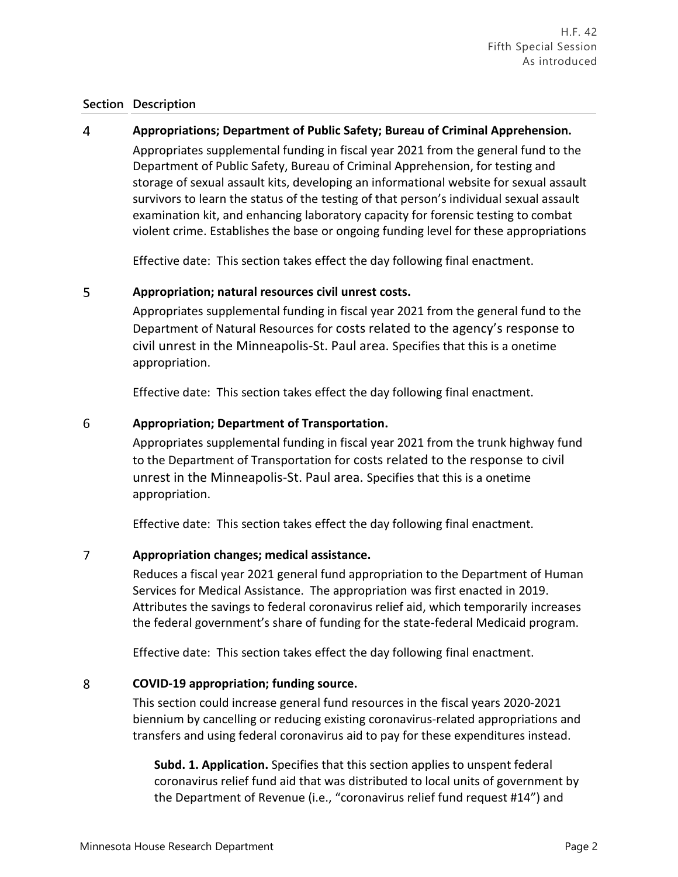### **Section Description**

#### $\overline{4}$ **Appropriations; Department of Public Safety; Bureau of Criminal Apprehension.**

Appropriates supplemental funding in fiscal year 2021 from the general fund to the Department of Public Safety, Bureau of Criminal Apprehension, for testing and storage of sexual assault kits, developing an informational website for sexual assault survivors to learn the status of the testing of that person's individual sexual assault examination kit, and enhancing laboratory capacity for forensic testing to combat violent crime. Establishes the base or ongoing funding level for these appropriations

Effective date: This section takes effect the day following final enactment.

#### 5 **Appropriation; natural resources civil unrest costs.**

Appropriates supplemental funding in fiscal year 2021 from the general fund to the Department of Natural Resources for costs related to the agency's response to civil unrest in the Minneapolis-St. Paul area. Specifies that this is a onetime appropriation.

Effective date: This section takes effect the day following final enactment.

#### 6 **Appropriation; Department of Transportation.**

Appropriates supplemental funding in fiscal year 2021 from the trunk highway fund to the Department of Transportation for costs related to the response to civil unrest in the Minneapolis-St. Paul area. Specifies that this is a onetime appropriation.

Effective date: This section takes effect the day following final enactment.

#### $\overline{7}$ **Appropriation changes; medical assistance.**

Reduces a fiscal year 2021 general fund appropriation to the Department of Human Services for Medical Assistance. The appropriation was first enacted in 2019. Attributes the savings to federal coronavirus relief aid, which temporarily increases the federal government's share of funding for the state-federal Medicaid program.

Effective date: This section takes effect the day following final enactment.

#### 8 **COVID-19 appropriation; funding source.**

This section could increase general fund resources in the fiscal years 2020-2021 biennium by cancelling or reducing existing coronavirus-related appropriations and transfers and using federal coronavirus aid to pay for these expenditures instead.

**Subd. 1. Application.** Specifies that this section applies to unspent federal coronavirus relief fund aid that was distributed to local units of government by the Department of Revenue (i.e., "coronavirus relief fund request #14") and